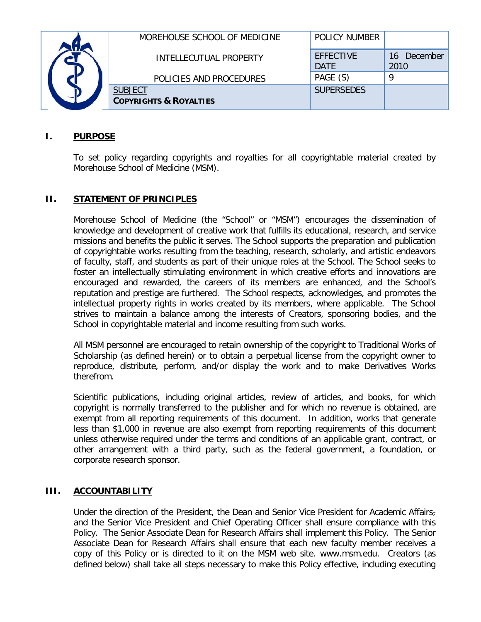|  | MOREHOUSE SCHOOL OF MEDICINE                        | <b>POLICY NUMBER</b>            |                                     |
|--|-----------------------------------------------------|---------------------------------|-------------------------------------|
|  | INTELLECUTUAL PROPERTY                              | <b>FFFFCTIVE</b><br><b>DATF</b> | December<br>16 <sup>1</sup><br>2010 |
|  | POLICIES AND PROCEDURES                             | PAGE (S)                        |                                     |
|  | <b>SUBJECT</b><br><b>COPYRIGHTS &amp; ROYALTIES</b> | <b>SUPERSEDES</b>               |                                     |

## **I. PURPOSE**

To set policy regarding copyrights and royalties for all copyrightable material created by Morehouse School of Medicine (MSM).

## **II. STATEMENT OF PRINCIPLES**

Morehouse School of Medicine (the "School" or "MSM") encourages the dissemination of knowledge and development of creative work that fulfills its educational, research, and service missions and benefits the public it serves. The School supports the preparation and publication of copyrightable works resulting from the teaching, research, scholarly, and artistic endeavors of faculty, staff, and students as part of their unique roles at the School. The School seeks to foster an intellectually stimulating environment in which creative efforts and innovations are encouraged and rewarded, the careers of its members are enhanced, and the School's reputation and prestige are furthered. The School respects, acknowledges, and promotes the intellectual property rights in works created by its members, where applicable. The School strives to maintain a balance among the interests of Creators, sponsoring bodies, and the School in copyrightable material and income resulting from such works.

All MSM personnel are encouraged to retain ownership of the copyright to Traditional Works of Scholarship (as defined herein) or to obtain a perpetual license from the copyright owner to reproduce, distribute, perform, and/or display the work and to make Derivatives Works therefrom.

Scientific publications, including original articles, review of articles, and books, for which copyright is normally transferred to the publisher and for which no revenue is obtained, are exempt from all reporting requirements of this document. In addition, works that generate less than \$1,000 in revenue are also exempt from reporting requirements of this document unless otherwise required under the terms and conditions of an applicable grant, contract, or other arrangement with a third party, such as the federal government, a foundation, or corporate research sponsor.

#### **III. ACCOUNTABILITY**

Under the direction of the President, the Dean and Senior Vice President for Academic Affairsand the Senior Vice President and Chief Operating Officer shall ensure compliance with this Policy. The Senior Associate Dean for Research Affairs shall implement this Policy. The Senior Associate Dean for Research Affairs shall ensure that each new faculty member receives a copy of this Policy or is directed to it on the MSM web site. www.msm.edu. Creators (as defined below) shall take all steps necessary to make this Policy effective, including executing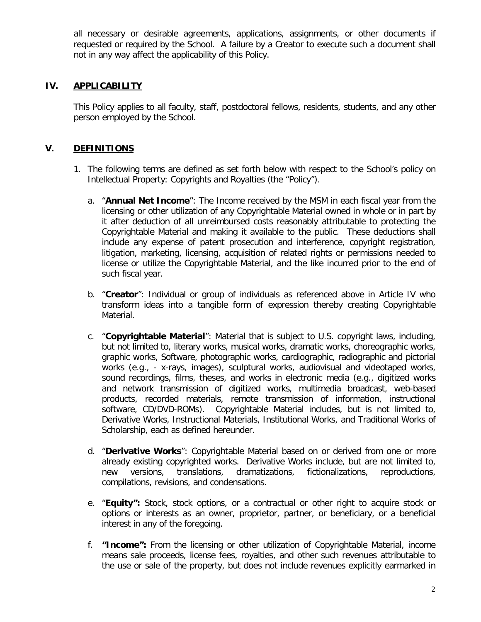all necessary or desirable agreements, applications, assignments, or other documents if requested or required by the School. A failure by a Creator to execute such a document shall not in any way affect the applicability of this Policy.

## **IV. APPLICABILITY**

This Policy applies to all faculty, staff, postdoctoral fellows, residents, students, and any other person employed by the School.

## **V. DEFINITIONS**

- 1. The following terms are defined as set forth below with respect to the School's policy on Intellectual Property: Copyrights and Royalties (the "Policy").
	- a. "**Annual Net Income**": The Income received by the MSM in each fiscal year from the licensing or other utilization of any Copyrightable Material owned in whole or in part by it after deduction of all unreimbursed costs reasonably attributable to protecting the Copyrightable Material and making it available to the public. These deductions shall include any expense of patent prosecution and interference, copyright registration, litigation, marketing, licensing, acquisition of related rights or permissions needed to license or utilize the Copyrightable Material, and the like incurred prior to the end of such fiscal year.
	- b. "**Creator**": Individual or group of individuals as referenced above in Article IV who transform ideas into a tangible form of expression thereby creating Copyrightable Material.
	- c. "**Copyrightable Material**": Material that is subject to U.S. copyright laws, including, but not limited to, literary works, musical works, dramatic works, choreographic works, graphic works, Software, photographic works, cardiographic, radiographic and pictorial works (e.g., - x-rays, images), sculptural works, audiovisual and videotaped works, sound recordings, films, theses, and works in electronic media (e.g., digitized works and network transmission of digitized works, multimedia broadcast, web-based products, recorded materials, remote transmission of information, instructional software, CD/DVD-ROMs). Copyrightable Material includes, but is not limited to, Derivative Works, Instructional Materials, Institutional Works, and Traditional Works of Scholarship, each as defined hereunder.
	- d. "**Derivative Works**": Copyrightable Material based on or derived from one or more already existing copyrighted works. Derivative Works include, but are not limited to, new versions, translations, dramatizations, fictionalizations, reproductions, compilations, revisions, and condensations.
	- e. "**Equity":** Stock, stock options, or a contractual or other right to acquire stock or options or interests as an owner, proprietor, partner, or beneficiary, or a beneficial interest in any of the foregoing.
	- f. **"Income":** From the licensing or other utilization of Copyrightable Material, income means sale proceeds, license fees, royalties, and other such revenues attributable to the use or sale of the property, but does not include revenues explicitly earmarked in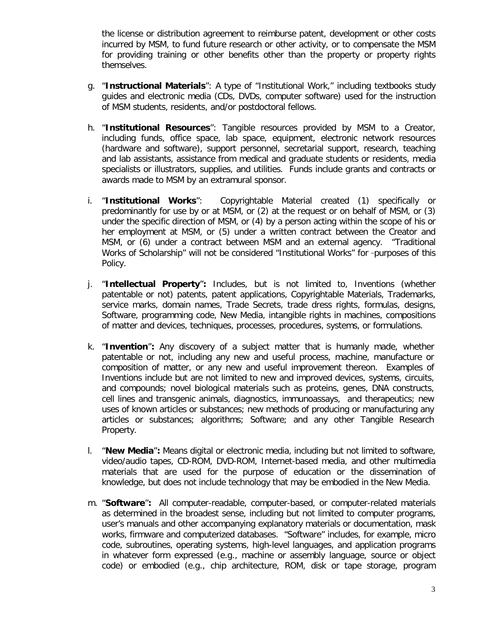the license or distribution agreement to reimburse patent, development or other costs incurred by MSM, to fund future research or other activity, or to compensate the MSM for providing training or other benefits other than the property or property rights themselves.

- g. "**Instructional Materials**": A type of "Institutional Work," including textbooks study guides and electronic media (CDs, DVDs, computer software) used for the instruction of MSM students, residents, and/or postdoctoral fellows.
- h. "**Institutional Resources**": Tangible resources provided by MSM to a Creator, including funds, office space, lab space, equipment, electronic network resources (hardware and software), support personnel, secretarial support, research, teaching and lab assistants, assistance from medical and graduate students or residents, media specialists or illustrators, supplies, and utilities. Funds include grants and contracts or awards made to MSM by an extramural sponsor.
- i. "**Institutional Works**": Copyrightable Material created (1) specifically or predominantly for use by or at MSM, or (2) at the request or on behalf of MSM, or (3) under the specific direction of MSM, or (4) by a person acting within the scope of his or her employment at MSM, or (5) under a written contract between the Creator and MSM, or (6) under a contract between MSM and an external agency. "Traditional Works of Scholarship" will not be considered "Institutional Works" for -purposes of this Policy.
- j. "**Intellectual Property**"**:** Includes, but is not limited to, Inventions (whether patentable or not) patents, patent applications, Copyrightable Materials, Trademarks, service marks, domain names, Trade Secrets, trade dress rights, formulas, designs, Software, programming code, New Media, intangible rights in machines, compositions of matter and devices, techniques, processes, procedures, systems, or formulations.
- k. "**Invention**"**:** Any discovery of a subject matter that is humanly made, whether patentable or not, including any new and useful process, machine, manufacture or composition of matter, or any new and useful improvement thereon. Examples of Inventions include but are not limited to new and improved devices, systems, circuits, and compounds; novel biological materials such as proteins, genes, DNA constructs, cell lines and transgenic animals, diagnostics, immunoassays, and therapeutics; new uses of known articles or substances; new methods of producing or manufacturing any articles or substances; algorithms; Software; and any other Tangible Research Property.
- l. "**New Media**"**:** Means digital or electronic media, including but not limited to software, video/audio tapes, CD-ROM, DVD-ROM, Internet-based media, and other multimedia materials that are used for the purpose of education or the dissemination of knowledge, but does not include technology that may be embodied in the New Media.
- m. "**Software**"**:** All computer-readable, computer-based, or computer-related materials as determined in the broadest sense, including but not limited to computer programs, user's manuals and other accompanying explanatory materials or documentation, mask works, firmware and computerized databases. "Software" includes, for example, micro code, subroutines, operating systems, high-level languages, and application programs in whatever form expressed (e.g., machine or assembly language, source or object code) or embodied (e.g., chip architecture, ROM, disk or tape storage, program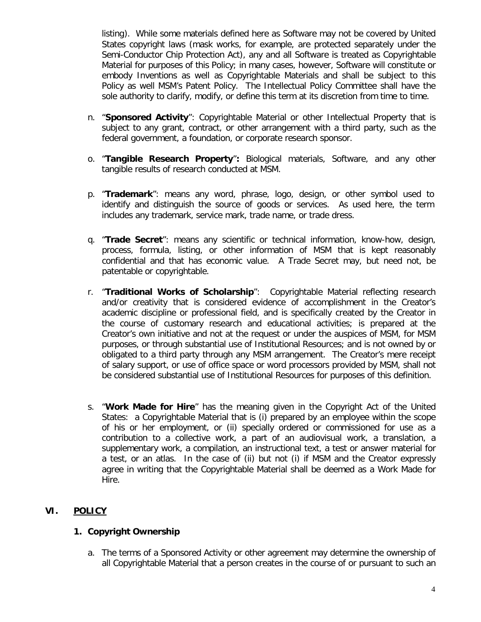listing). While some materials defined here as Software may not be covered by United States copyright laws (mask works, for example, are protected separately under the Semi-Conductor Chip Protection Act), any and all Software is treated as Copyrightable Material for purposes of this Policy; in many cases, however, Software will constitute or embody Inventions as well as Copyrightable Materials and shall be subject to this Policy as well MSM's Patent Policy. The Intellectual Policy Committee shall have the sole authority to clarify, modify, or define this term at its discretion from time to time.

- n. "**Sponsored Activity**": Copyrightable Material or other Intellectual Property that is subject to any grant, contract, or other arrangement with a third party, such as the federal government, a foundation, or corporate research sponsor.
- o. "**Tangible Research Property**"**:** Biological materials, Software, and any other tangible results of research conducted at MSM.
- p. "**Trademark**": means any word, phrase, logo, design, or other symbol used to identify and distinguish the source of goods or services. As used here, the term includes any trademark, service mark, trade name, or trade dress.
- q. "**Trade Secret**": means any scientific or technical information, know-how, design, process, formula, listing, or other information of MSM that is kept reasonably confidential and that has economic value. A Trade Secret may, but need not, be patentable or copyrightable.
- r. "**Traditional Works of Scholarship**": Copyrightable Material reflecting research and/or creativity that is considered evidence of accomplishment in the Creator's academic discipline or professional field, and is specifically created by the Creator in the course of customary research and educational activities; is prepared at the Creator's own initiative and not at the request or under the auspices of MSM, for MSM purposes, or through substantial use of Institutional Resources; and is not owned by or obligated to a third party through any MSM arrangement. The Creator's mere receipt of salary support, or use of office space or word processors provided by MSM, shall not be considered substantial use of Institutional Resources for purposes of this definition.
- s. "**Work Made for Hire**" has the meaning given in the Copyright Act of the United States: a Copyrightable Material that is (i) prepared by an employee within the scope of his or her employment, or (ii) specially ordered or commissioned for use as a contribution to a collective work, a part of an audiovisual work, a translation, a supplementary work, a compilation, an instructional text, a test or answer material for a test, or an atlas. In the case of (ii) but not (i) if MSM and the Creator expressly agree in writing that the Copyrightable Material shall be deemed as a Work Made for Hire.

# **VI. POLICY**

# **1. Copyright Ownership**

a. The terms of a Sponsored Activity or other agreement may determine the ownership of all Copyrightable Material that a person creates in the course of or pursuant to such an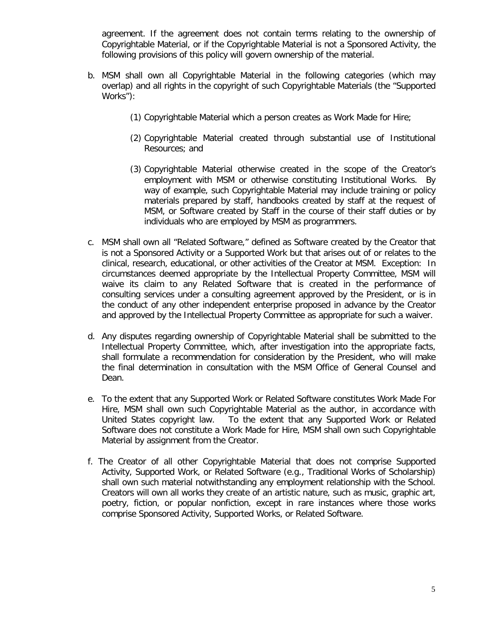agreement. If the agreement does not contain terms relating to the ownership of Copyrightable Material, or if the Copyrightable Material is not a Sponsored Activity, the following provisions of this policy will govern ownership of the material.

- b. MSM shall own all Copyrightable Material in the following categories (which may overlap) and all rights in the copyright of such Copyrightable Materials (the "Supported Works"):
	- (1) Copyrightable Material which a person creates as Work Made for Hire;
	- (2) Copyrightable Material created through substantial use of Institutional Resources; and
	- (3) Copyrightable Material otherwise created in the scope of the Creator's employment with MSM or otherwise constituting Institutional Works. By way of example, such Copyrightable Material may include training or policy materials prepared by staff, handbooks created by staff at the request of MSM, or Software created by Staff in the course of their staff duties or by individuals who are employed by MSM as programmers.
- c. MSM shall own all "Related Software," defined as Software created by the Creator that is not a Sponsored Activity or a Supported Work but that arises out of or relates to the clinical, research, educational, or other activities of the Creator at MSM. Exception: In circumstances deemed appropriate by the Intellectual Property Committee, MSM will waive its claim to any Related Software that is created in the performance of consulting services under a consulting agreement approved by the President, or is in the conduct of any other independent enterprise proposed in advance by the Creator and approved by the Intellectual Property Committee as appropriate for such a waiver.
- d. Any disputes regarding ownership of Copyrightable Material shall be submitted to the Intellectual Property Committee, which, after investigation into the appropriate facts, shall formulate a recommendation for consideration by the President, who will make the final determination in consultation with the MSM Office of General Counsel and Dean.
- e. To the extent that any Supported Work or Related Software constitutes Work Made For Hire, MSM shall own such Copyrightable Material as the author, in accordance with United States copyright law. To the extent that any Supported Work or Related Software does not constitute a Work Made for Hire, MSM shall own such Copyrightable Material by assignment from the Creator.
- f. The Creator of all other Copyrightable Material that does not comprise Supported Activity, Supported Work, or Related Software (e.g., Traditional Works of Scholarship) shall own such material notwithstanding any employment relationship with the School. Creators will own all works they create of an artistic nature, such as music, graphic art, poetry, fiction, or popular nonfiction, except in rare instances where those works comprise Sponsored Activity, Supported Works, or Related Software.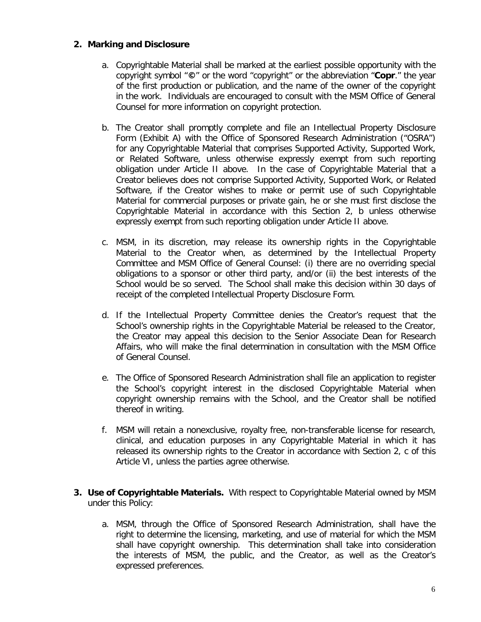#### **2. Marking and Disclosure**

- a. Copyrightable Material shall be marked at the earliest possible opportunity with the copyright symbol "**©**" or the word "copyright" or the abbreviation "**Copr**." the year of the first production or publication, and the name of the owner of the copyright in the work. Individuals are encouraged to consult with the MSM Office of General Counsel for more information on copyright protection.
- b. The Creator shall promptly complete and file an Intellectual Property Disclosure Form (Exhibit A) with the Office of Sponsored Research Administration ("OSRA") for any Copyrightable Material that comprises Supported Activity, Supported Work, or Related Software, unless otherwise expressly exempt from such reporting obligation under Article II above. In the case of Copyrightable Material that a Creator believes does not comprise Supported Activity, Supported Work, or Related Software, if the Creator wishes to make or permit use of such Copyrightable Material for commercial purposes or private gain, he or she must first disclose the Copyrightable Material in accordance with this Section 2, b unless otherwise expressly exempt from such reporting obligation under Article II above.
- c. MSM, in its discretion, may release its ownership rights in the Copyrightable Material to the Creator when, as determined by the Intellectual Property Committee and MSM Office of General Counsel: (i) there are no overriding special obligations to a sponsor or other third party, and/or (ii) the best interests of the School would be so served. The School shall make this decision within 30 days of receipt of the completed Intellectual Property Disclosure Form.
- d. If the Intellectual Property Committee denies the Creator's request that the School's ownership rights in the Copyrightable Material be released to the Creator, the Creator may appeal this decision to the Senior Associate Dean for Research Affairs, who will make the final determination in consultation with the MSM Office of General Counsel.
- e. The Office of Sponsored Research Administration shall file an application to register the School's copyright interest in the disclosed Copyrightable Material when copyright ownership remains with the School, and the Creator shall be notified thereof in writing.
- f. MSM will retain a nonexclusive, royalty free, non-transferable license for research, clinical, and education purposes in any Copyrightable Material in which it has released its ownership rights to the Creator in accordance with Section 2, c of this Article VI, unless the parties agree otherwise.
- **3. Use of Copyrightable Materials.** With respect to Copyrightable Material owned by MSM under this Policy:
	- a. MSM, through the Office of Sponsored Research Administration, shall have the right to determine the licensing, marketing, and use of material for which the MSM shall have copyright ownership. This determination shall take into consideration the interests of MSM, the public, and the Creator, as well as the Creator's expressed preferences.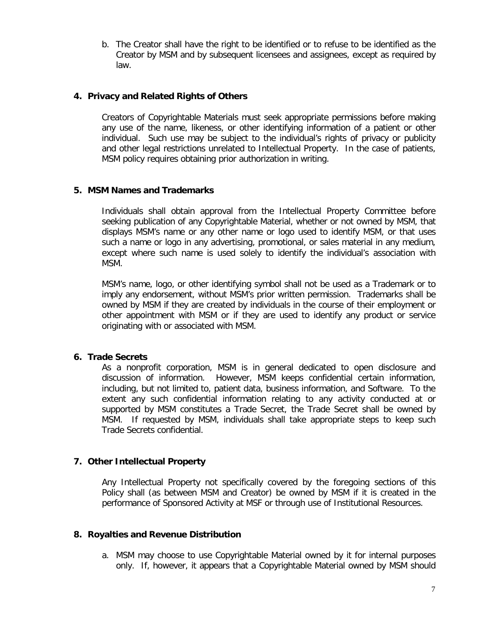b. The Creator shall have the right to be identified or to refuse to be identified as the Creator by MSM and by subsequent licensees and assignees, except as required by law.

## **4. Privacy and Related Rights of Others**

Creators of Copyrightable Materials must seek appropriate permissions before making any use of the name, likeness, or other identifying information of a patient or other individual. Such use may be subject to the individual's rights of privacy or publicity and other legal restrictions unrelated to Intellectual Property. In the case of patients, MSM policy requires obtaining prior authorization in writing.

## **5. MSM Names and Trademarks**

Individuals shall obtain approval from the Intellectual Property Committee before seeking publication of any Copyrightable Material, whether or not owned by MSM, that displays MSM's name or any other name or logo used to identify MSM, or that uses such a name or logo in any advertising, promotional, or sales material in any medium, except where such name is used solely to identify the individual's association with MSM.

MSM's name, logo, or other identifying symbol shall not be used as a Trademark or to imply any endorsement, without MSM's prior written permission. Trademarks shall be owned by MSM if they are created by individuals in the course of their employment or other appointment with MSM or if they are used to identify any product or service originating with or associated with MSM.

#### **6. Trade Secrets**

As a nonprofit corporation, MSM is in general dedicated to open disclosure and discussion of information. However, MSM keeps confidential certain information, including, but not limited to, patient data, business information, and Software. To the extent any such confidential information relating to any activity conducted at or supported by MSM constitutes a Trade Secret, the Trade Secret shall be owned by MSM. If requested by MSM, individuals shall take appropriate steps to keep such Trade Secrets confidential.

# **7. Other Intellectual Property**

Any Intellectual Property not specifically covered by the foregoing sections of this Policy shall (as between MSM and Creator) be owned by MSM if it is created in the performance of Sponsored Activity at MSF or through use of Institutional Resources.

#### **8. Royalties and Revenue Distribution**

a. MSM may choose to use Copyrightable Material owned by it for internal purposes only. If, however, it appears that a Copyrightable Material owned by MSM should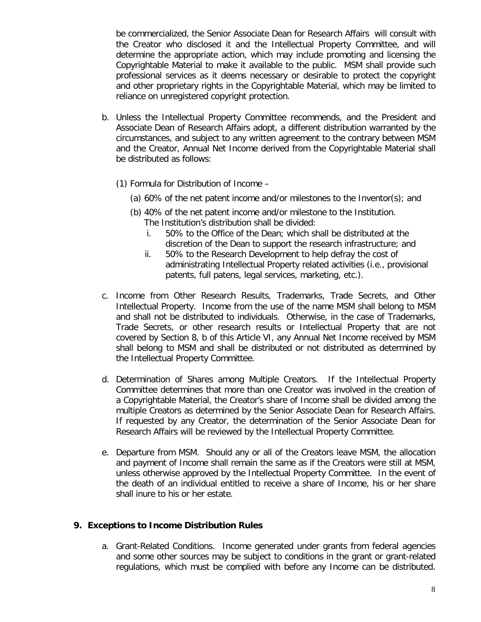be commercialized, the Senior Associate Dean for Research Affairs will consult with the Creator who disclosed it and the Intellectual Property Committee, and will determine the appropriate action, which may include promoting and licensing the Copyrightable Material to make it available to the public. MSM shall provide such professional services as it deems necessary or desirable to protect the copyright and other proprietary rights in the Copyrightable Material, which may be limited to reliance on unregistered copyright protection.

- b. Unless the Intellectual Property Committee recommends, and the President and Associate Dean of Research Affairs adopt, a different distribution warranted by the circumstances, and subject to any written agreement to the contrary between MSM and the Creator, Annual Net Income derived from the Copyrightable Material shall be distributed as follows:
	- (1) Formula for Distribution of Income
		- (a) 60% of the net patent income and/or milestones to the Inventor(s); and
		- (b) 40% of the net patent income and/or milestone to the Institution. The Institution's distribution shall be divided:
			- i. 50% to the Office of the Dean; which shall be distributed at the discretion of the Dean to support the research infrastructure; and
			- ii. 50% to the Research Development to help defray the cost of administrating Intellectual Property related activities (i.e., provisional patents, full patens, legal services, marketing, etc.).
- c. Income from Other Research Results, Trademarks, Trade Secrets, and Other Intellectual Property. Income from the use of the name MSM shall belong to MSM and shall not be distributed to individuals. Otherwise, in the case of Trademarks, Trade Secrets, or other research results or Intellectual Property that are not covered by Section 8, b of this Article VI, any Annual Net Income received by MSM shall belong to MSM and shall be distributed or not distributed as determined by the Intellectual Property Committee.
- d. Determination of Shares among Multiple Creators. If the Intellectual Property Committee determines that more than one Creator was involved in the creation of a Copyrightable Material, the Creator's share of Income shall be divided among the multiple Creators as determined by the Senior Associate Dean for Research Affairs. If requested by any Creator, the determination of the Senior Associate Dean for Research Affairs will be reviewed by the Intellectual Property Committee.
- e. Departure from MSM. Should any or all of the Creators leave MSM, the allocation and payment of Income shall remain the same as if the Creators were still at MSM, unless otherwise approved by the Intellectual Property Committee. In the event of the death of an individual entitled to receive a share of Income, his or her share shall inure to his or her estate.

#### **9. Exceptions to Income Distribution Rules**

a. Grant-Related Conditions. Income generated under grants from federal agencies and some other sources may be subject to conditions in the grant or grant-related regulations, which must be complied with before any Income can be distributed.